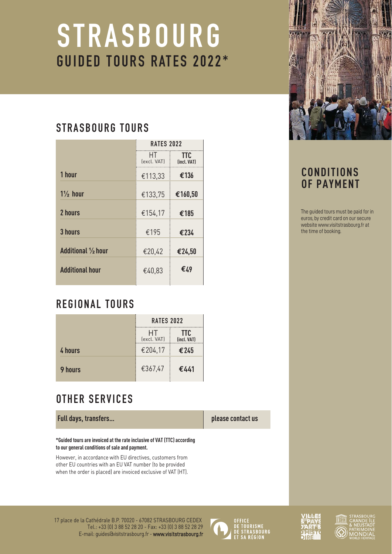# **STRASBOURG** GUIDED TOURS RATES 2022\*

# STRASBOURG TOURS

| <b>RATES 2022</b>  |                           |
|--------------------|---------------------------|
| HT.<br>(excl. VAT) | <b>TTC</b><br>(incl. VAT) |
| €113,33            | €136                      |
| €133,75            | €160,50                   |
| €154,17            | €185                      |
| €195               | €234                      |
| €20,42             | €24,50                    |
| €40,83             | €49                       |
|                    |                           |

# REGIONAL TOURS

|                | <b>RATES 2022</b> |                           |
|----------------|-------------------|---------------------------|
|                | HT<br>(excl. VAT) | <b>TTC</b><br>(incl. VAT) |
| 4 hours        | €204,17           | €245                      |
| <b>9 hours</b> | €367,47           | €441                      |

# OTHER SERVICES

**Full days, transfers…**

**\*Guided tours are invoiced at the rate inclusive of VAT (TTC) according to our general conditions of sale and payment.**

However, in accordance with EU directives, customers from other EU countries with an EU VAT number (to be provided when the order is placed) are invoiced exclusive of VAT (HT).









# **CONDITIONS OF PAYMENT**

The guided tours must be paid for in euros, by credit card on our secure website<www.visitstrasbourg.fr>at the time of booking.

**please contact us**